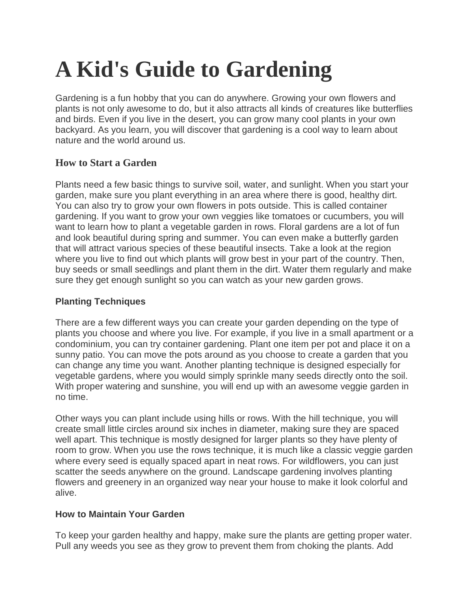# **A Kid's Guide to Gardening**

Gardening is a fun hobby that you can do anywhere. Growing your own flowers and plants is not only awesome to do, but it also attracts all kinds of creatures like butterflies and birds. Even if you live in the desert, you can grow many cool plants in your own backyard. As you learn, you will discover that gardening is a cool way to learn about nature and the world around us.

## **How to Start a Garden**

Plants need a few basic things to survive soil, water, and sunlight. When you start your garden, make sure you plant everything in an area where there is good, healthy dirt. You can also try to grow your own flowers in pots outside. This is called container gardening. If you want to grow your own veggies like tomatoes or cucumbers, you will want to learn how to plant a vegetable garden in rows. Floral gardens are a lot of fun and look beautiful during spring and summer. You can even make a butterfly garden that will attract various species of these beautiful insects. Take a look at the region where you live to find out which plants will grow best in your part of the country. Then, buy seeds or small seedlings and plant them in the dirt. Water them regularly and make sure they get enough sunlight so you can watch as your new garden grows.

## **Planting Techniques**

There are a few different ways you can create your garden depending on the type of plants you choose and where you live. For example, if you live in a small apartment or a condominium, you can try container gardening. Plant one item per pot and place it on a sunny patio. You can move the pots around as you choose to create a garden that you can change any time you want. Another planting technique is designed especially for vegetable gardens, where you would simply sprinkle many seeds directly onto the soil. With proper watering and sunshine, you will end up with an awesome veggie garden in no time.

Other ways you can plant include using hills or rows. With the hill technique, you will create small little circles around six inches in diameter, making sure they are spaced well apart. This technique is mostly designed for larger plants so they have plenty of room to grow. When you use the rows technique, it is much like a classic veggie garden where every seed is equally spaced apart in neat rows. For wildflowers, you can just scatter the seeds anywhere on the ground. Landscape gardening involves planting flowers and greenery in an organized way near your house to make it look colorful and alive.

#### **How to Maintain Your Garden**

To keep your garden healthy and happy, make sure the plants are getting proper water. Pull any weeds you see as they grow to prevent them from choking the plants. Add